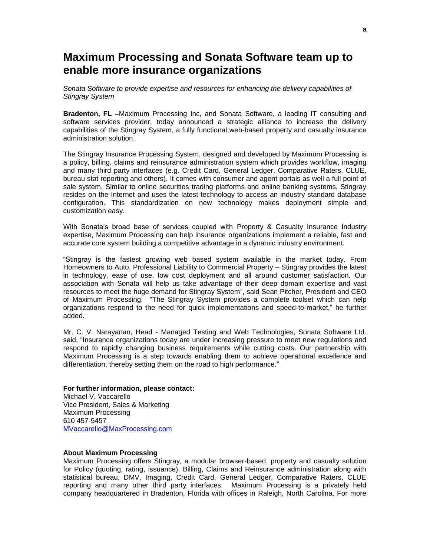## **Maximum Processing and Sonata Software team up to enable more insurance organizations**

*Sonata Software to provide expertise and resources for enhancing the delivery capabilities of Stingray System*

**Bradenton, FL –**Maximum Processing Inc, and Sonata Software, a leading IT consulting and software services provider, today announced a strategic alliance to increase the delivery capabilities of the Stingray System, a fully functional web-based property and casualty insurance administration solution.

The Stingray Insurance Processing System, designed and developed by Maximum Processing is a policy, billing, claims and reinsurance administration system which provides workflow, imaging and many third party interfaces (e.g. Credit Card, General Ledger, Comparative Raters, CLUE, bureau stat reporting and others). It comes with consumer and agent portals as well a full point of sale system. Similar to online securities trading platforms and online banking systems, Stingray resides on the Internet and uses the latest technology to access an industry standard database configuration. This standardization on new technology makes deployment simple and customization easy.

With Sonata's broad base of services coupled with Property & Casualty Insurance Industry expertise, Maximum Processing can help insurance organizations implement a reliable, fast and accurate core system building a competitive advantage in a dynamic industry environment.

"Stingray is the fastest growing web based system available in the market today. From Homeowners to Auto, Professional Liability to Commercial Property – Stingray provides the latest in technology, ease of use, low cost deployment and all around customer satisfaction. Our association with Sonata will help us take advantage of their deep domain expertise and vast resources to meet the huge demand for Stingray System", said Sean Pitcher, President and CEO of Maximum Processing. "The Stingray System provides a complete toolset which can help organizations respond to the need for quick implementations and speed-to-market," he further added.

Mr. C. V. Narayanan, Head - Managed Testing and Web Technologies, Sonata Software Ltd. said, "Insurance organizations today are under increasing pressure to meet new regulations and respond to rapidly changing business requirements while cutting costs. Our partnership with Maximum Processing is a step towards enabling them to achieve operational excellence and differentiation, thereby setting them on the road to high performance."

## **For further information, please contact:**

Michael V. Vaccarello Vice President, Sales & Marketing Maximum Processing 610 457-5457 MVaccarello@MaxProcessing.com

## **About Maximum Processing**

Maximum Processing offers Stingray, a modular browser-based, property and casualty solution for Policy (quoting, rating, issuance), Billing, Claims and Reinsurance administration along with statistical bureau, DMV, Imaging, Credit Card, General Ledger, Comparative Raters, CLUE reporting and many other third party interfaces. Maximum Processing is a privately held company headquartered in Bradenton, Florida with offices in Raleigh, North Carolina. For more